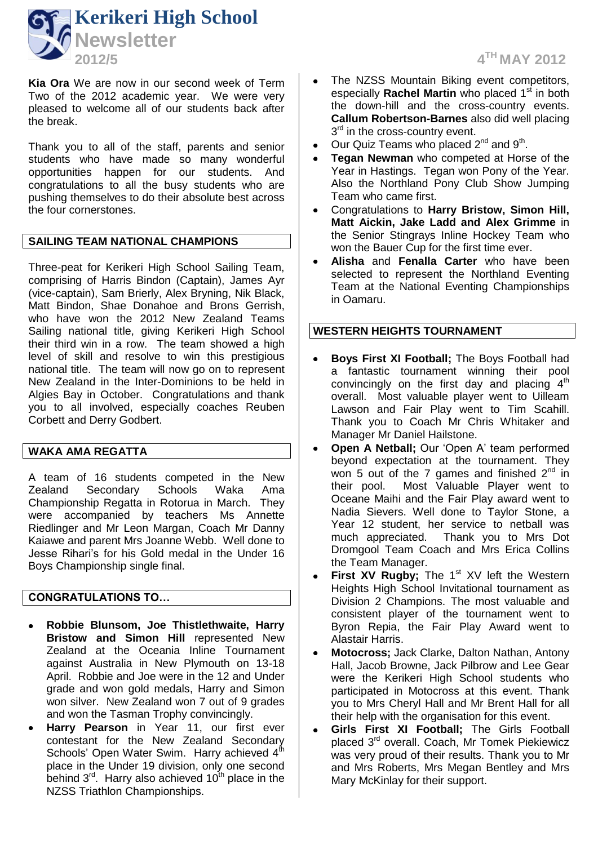

**Kia Ora** We are now in our second week of Term Two of the 2012 academic year. We were very pleased to welcome all of our students back after the break.

Thank you to all of the staff, parents and senior students who have made so many wonderful opportunities happen for our students. And congratulations to all the busy students who are pushing themselves to do their absolute best across the four cornerstones.

# **SAILING TEAM NATIONAL CHAMPIONS**

Three-peat for Kerikeri High School Sailing Team, comprising of Harris Bindon (Captain), James Ayr (vice-captain), Sam Brierly, Alex Bryning, Nik Black, Matt Bindon, Shae Donahoe and Brons Gerrish, who have won the 2012 New Zealand Teams Sailing national title, giving Kerikeri High School their third win in a row. The team showed a high level of skill and resolve to win this prestigious national title. The team will now go on to represent New Zealand in the Inter-Dominions to be held in Algies Bay in October. Congratulations and thank you to all involved, especially coaches Reuben Corbett and Derry Godbert.

## **WAKA AMA REGATTA**

A team of 16 students competed in the New Zealand Secondary Schools Waka Ama Championship Regatta in Rotorua in March. They were accompanied by teachers Ms Annette Riedlinger and Mr Leon Margan, Coach Mr Danny Kaiawe and parent Mrs Joanne Webb. Well done to Jesse Rihari's for his Gold medal in the Under 16 Boys Championship single final.

#### **CONGRATULATIONS TO…**

- **Robbie Blunsom, Joe Thistlethwaite, Harry**   $\bullet$ **Bristow and Simon Hill** represented New Zealand at the Oceania Inline Tournament against Australia in New Plymouth on 13-18 April. Robbie and Joe were in the 12 and Under grade and won gold medals, Harry and Simon won silver. New Zealand won 7 out of 9 grades and won the Tasman Trophy convincingly.
- **Harry Pearson** in Year 11, our first ever contestant for the New Zealand Secondary Schools' Open Water Swim. Harry achieved 4<sup>th</sup> place in the Under 19 division, only one second behind  $3<sup>rd</sup>$ . Harry also achieved  $10<sup>th</sup>$  place in the NZSS Triathlon Championships.
- The NZSS Mountain Biking event competitors, especially **Rachel Martin** who placed 1<sup>st</sup> in both the down-hill and the cross-country events. **Callum Robertson-Barnes** also did well placing 3<sup>rd</sup> in the cross-country event.
- Our Quiz Teams who placed 2<sup>nd</sup> and 9<sup>th</sup>.
- **Tegan Newman** who competed at Horse of the Year in Hastings. Tegan won Pony of the Year. Also the Northland Pony Club Show Jumping Team who came first.
- Congratulations to **Harry Bristow, Simon Hill, Matt Aickin, Jake Ladd and Alex Grimme** in the Senior Stingrays Inline Hockey Team who won the Bauer Cup for the first time ever.
- **Alisha** and **Fenalla Carter** who have been  $\bullet$ selected to represent the Northland Eventing Team at the National Eventing Championships in Oamaru.

## **WESTERN HEIGHTS TOURNAMENT**

- **Boys First XI Football;** The Boys Football had a fantastic tournament winning their pool convincingly on the first day and placing  $4<sup>th</sup>$ overall. Most valuable player went to Uilleam Lawson and Fair Play went to Tim Scahill. Thank you to Coach Mr Chris Whitaker and Manager Mr Daniel Hailstone.
- **Open A Netball;** Our 'Open A' team performed beyond expectation at the tournament. They won 5 out of the 7 games and finished  $2<sup>nd</sup>$  in their pool. Most Valuable Player went to Oceane Maihi and the Fair Play award went to Nadia Sievers. Well done to Taylor Stone, a Year 12 student, her service to netball was much appreciated. Thank you to Mrs Dot Dromgool Team Coach and Mrs Erica Collins the Team Manager.
- $\bullet$ **First XV Rugby;** The 1<sup>st</sup> XV left the Western Heights High School Invitational tournament as Division 2 Champions. The most valuable and consistent player of the tournament went to Byron Repia, the Fair Play Award went to Alastair Harris.
- **Motocross;** Jack Clarke, Dalton Nathan, Antony  $\bullet$ Hall, Jacob Browne, Jack Pilbrow and Lee Gear were the Kerikeri High School students who participated in Motocross at this event. Thank you to Mrs Cheryl Hall and Mr Brent Hall for all their help with the organisation for this event.
- **Girls First XI Football;** The Girls Football  $\bullet$ placed 3rd overall. Coach, Mr Tomek Piekiewicz was very proud of their results. Thank you to Mr and Mrs Roberts, Mrs Megan Bentley and Mrs Mary McKinlay for their support.